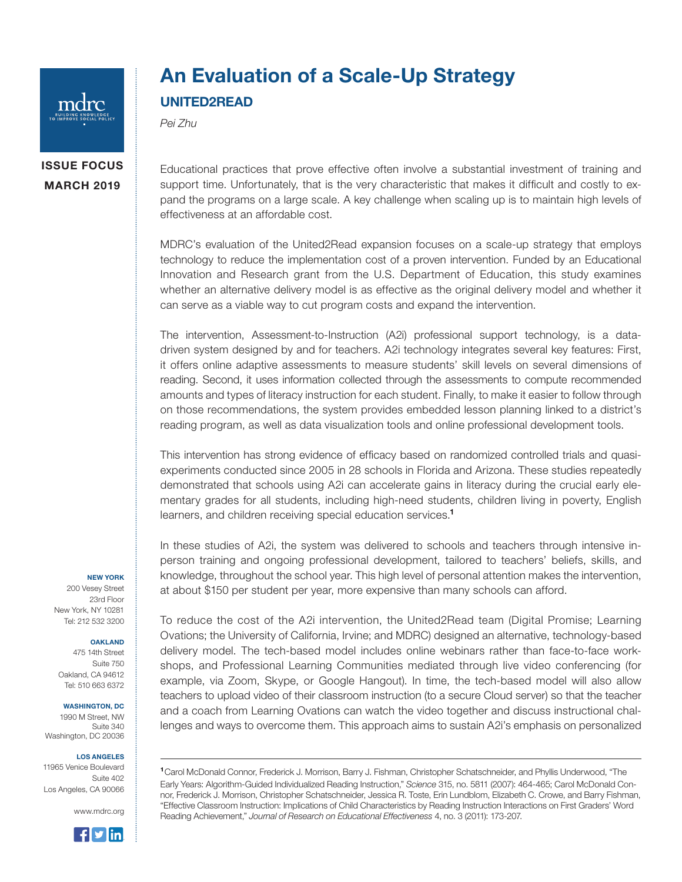

## An Evaluation of a Scale-Up Strategy UNITED2READ

*Pei Zhu*

## ISSUE FOCUS MARCH 2019

Educational practices that prove effective often involve a substantial investment of training and support time. Unfortunately, that is the very characteristic that makes it difficult and costly to expand the programs on a large scale. A key challenge when scaling up is to maintain high levels of effectiveness at an affordable cost.

MDRC's evaluation of the United2Read expansion focuses on a scale-up strategy that employs technology to reduce the implementation cost of a proven intervention. Funded by an Educational Innovation and Research grant from the U.S. Department of Education, this study examines whether an alternative delivery model is as effective as the original delivery model and whether it can serve as a viable way to cut program costs and expand the intervention.

The intervention, Assessment-to-Instruction (A2i) professional support technology, is a datadriven system designed by and for teachers. A2i technology integrates several key features: First, it offers online adaptive assessments to measure students' skill levels on several dimensions of reading. Second, it uses information collected through the assessments to compute recommended amounts and types of literacy instruction for each student. Finally, to make it easier to follow through on those recommendations, the system provides embedded lesson planning linked to a district's reading program, as well as data visualization tools and online professional development tools.

This intervention has strong evidence of efficacy based on randomized controlled trials and quasiexperiments conducted since 2005 in 28 schools in Florida and Arizona. These studies repeatedly demonstrated that schools using A2i can accelerate gains in literacy during the crucial early elementary grades for all students, including high-need students, children living in poverty, English learners, and children receiving special education services.<sup>1</sup>

In these studies of A2i, the system was delivered to schools and teachers through intensive inperson training and ongoing professional development, tailored to teachers' beliefs, skills, and knowledge, throughout the school year. This high level of personal attention makes the intervention, at about \$150 per student per year, more expensive than many schools can afford.

NEW YORK 200 Vesey Street 23rd Floor New York, NY 10281 Tel: 212 532 3200

## OAKLAND

475 14th Street Suite 750 Oakland, CA 94612 Tel: 510 663 6372

WASHINGTON, DC

1990 M Street, NW Suite 340 Washington, DC 20036

## LOS ANGELES

11965 Venice Boulevard Suite 402 Los Angeles, CA 90066

www.mdrc.org



To reduce the cost of the A2i intervention, the United2Read team (Digital Promise; Learning Ovations; the University of California, Irvine; and MDRC) designed an alternative, technology-based delivery model. The tech-based model includes online webinars rather than face-to-face workshops, and Professional Learning Communities mediated through live video conferencing (for example, via Zoom, Skype, or Google Hangout). In time, the tech-based model will also allow teachers to upload video of their classroom instruction (to a secure Cloud server) so that the teacher and a coach from Learning Ovations can watch the video together and discuss instructional challenges and ways to overcome them. This approach aims to sustain A2i's emphasis on personalized

<sup>1</sup>Carol McDonald Connor, Frederick J. Morrison, Barry J. Fishman, Christopher Schatschneider, and Phyllis Underwood, "The Early Years: Algorithm-Guided Individualized Reading Instruction," *Science* 315, no. 5811 (2007): 464-465; Carol McDonald Connor, Frederick J. Morrison, Christopher Schatschneider, Jessica R. Toste, Erin Lundblom, Elizabeth C. Crowe, and Barry Fishman, "Effective Classroom Instruction: Implications of Child Characteristics by Reading Instruction Interactions on First Graders' Word Reading Achievement," *Journal of Research on Educational Effectiveness* 4, no. 3 (2011): 173-207.